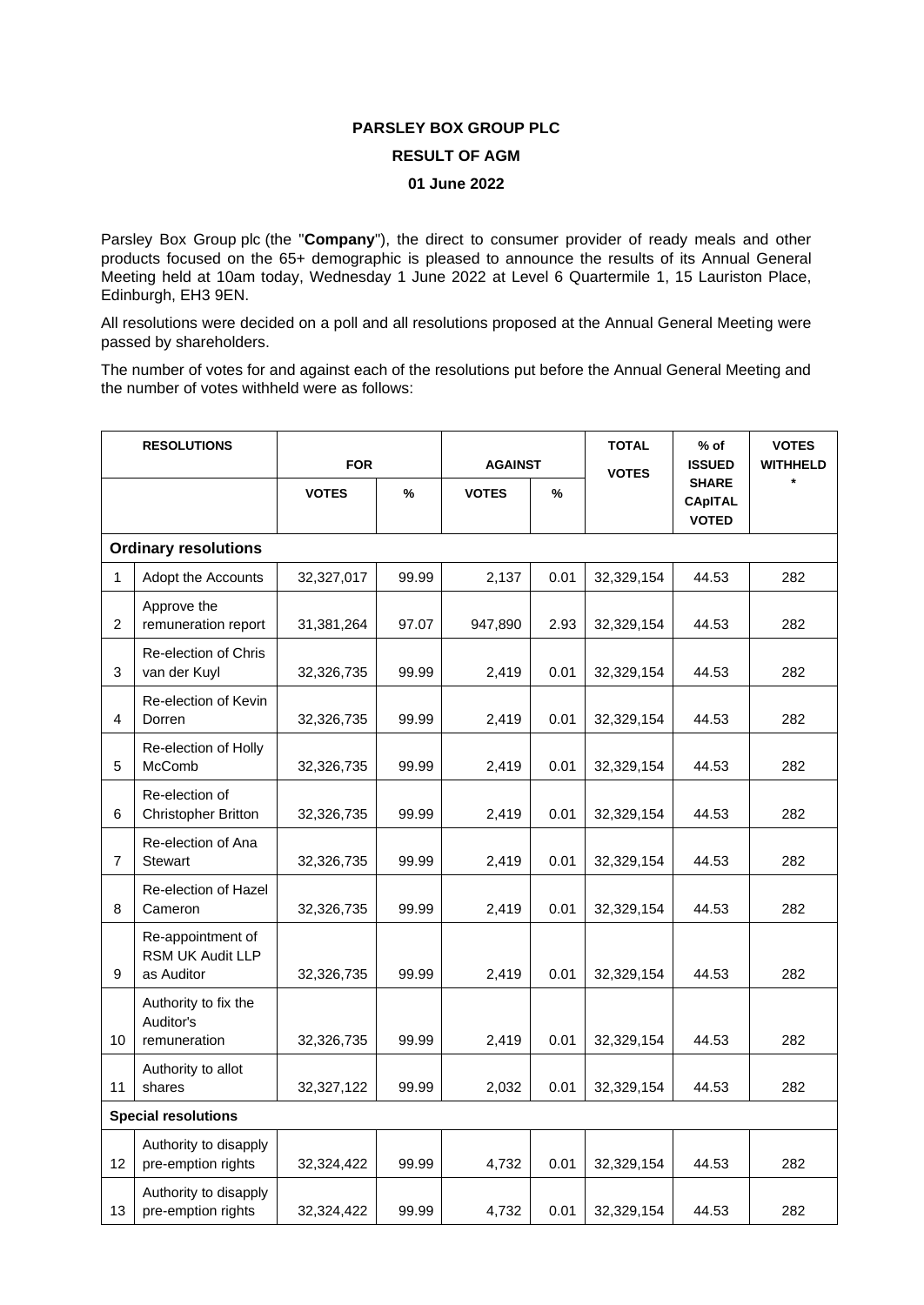## **PARSLEY BOX GROUP PLC RESULT OF AGM**

## **01 June 2022**

Parsley Box Group plc (the "**Company**"), the direct to consumer provider of ready meals and other products focused on the 65+ demographic is pleased to announce the results of its Annual General Meeting held at 10am today, Wednesday 1 June 2022 at Level 6 Quartermile 1, 15 Lauriston Place, Edinburgh, EH3 9EN.

All resolutions were decided on a poll and all resolutions proposed at the Annual General Meeting were passed by shareholders.

The number of votes for and against each of the resolutions put before the Annual General Meeting and the number of votes withheld were as follows:

| <b>RESOLUTIONS</b>          |                                                            | <b>FOR</b>   |       | <b>AGAINST</b> |      | <b>TOTAL</b> | $%$ of<br><b>ISSUED</b>                        | <b>VOTES</b><br><b>WITHHELD</b> |
|-----------------------------|------------------------------------------------------------|--------------|-------|----------------|------|--------------|------------------------------------------------|---------------------------------|
|                             |                                                            | <b>VOTES</b> | $\%$  | <b>VOTES</b>   | %    | <b>VOTES</b> | <b>SHARE</b><br><b>CApITAL</b><br><b>VOTED</b> |                                 |
| <b>Ordinary resolutions</b> |                                                            |              |       |                |      |              |                                                |                                 |
| 1                           | Adopt the Accounts                                         | 32,327,017   | 99.99 | 2,137          | 0.01 | 32,329,154   | 44.53                                          | 282                             |
| 2                           | Approve the<br>remuneration report                         | 31,381,264   | 97.07 | 947,890        | 2.93 | 32,329,154   | 44.53                                          | 282                             |
| 3                           | <b>Re-election of Chris</b><br>van der Kuyl                | 32,326,735   | 99.99 | 2,419          | 0.01 | 32,329,154   | 44.53                                          | 282                             |
| 4                           | Re-election of Kevin<br>Dorren                             | 32,326,735   | 99.99 | 2,419          | 0.01 | 32,329,154   | 44.53                                          | 282                             |
| 5                           | Re-election of Holly<br>McComb                             | 32,326,735   | 99.99 | 2,419          | 0.01 | 32,329,154   | 44.53                                          | 282                             |
| 6                           | Re-election of<br>Christopher Britton                      | 32,326,735   | 99.99 | 2,419          | 0.01 | 32,329,154   | 44.53                                          | 282                             |
| $\overline{7}$              | Re-election of Ana<br><b>Stewart</b>                       | 32,326,735   | 99.99 | 2,419          | 0.01 | 32,329,154   | 44.53                                          | 282                             |
| 8                           | Re-election of Hazel<br>Cameron                            | 32,326,735   | 99.99 | 2,419          | 0.01 | 32,329,154   | 44.53                                          | 282                             |
| 9                           | Re-appointment of<br><b>RSM UK Audit LLP</b><br>as Auditor | 32,326,735   | 99.99 | 2,419          | 0.01 | 32,329,154   | 44.53                                          | 282                             |
| 10                          | Authority to fix the<br>Auditor's<br>remuneration          | 32,326,735   | 99.99 | 2,419          | 0.01 | 32,329,154   | 44.53                                          | 282                             |
| 11                          | Authority to allot<br>shares                               | 32,327,122   | 99.99 | 2,032          | 0.01 | 32,329,154   | 44.53                                          | 282                             |
| <b>Special resolutions</b>  |                                                            |              |       |                |      |              |                                                |                                 |
| 12                          | Authority to disapply<br>pre-emption rights                | 32,324,422   | 99.99 | 4,732          | 0.01 | 32,329,154   | 44.53                                          | 282                             |
| 13                          | Authority to disapply<br>pre-emption rights                | 32,324,422   | 99.99 | 4,732          | 0.01 | 32,329,154   | 44.53                                          | 282                             |